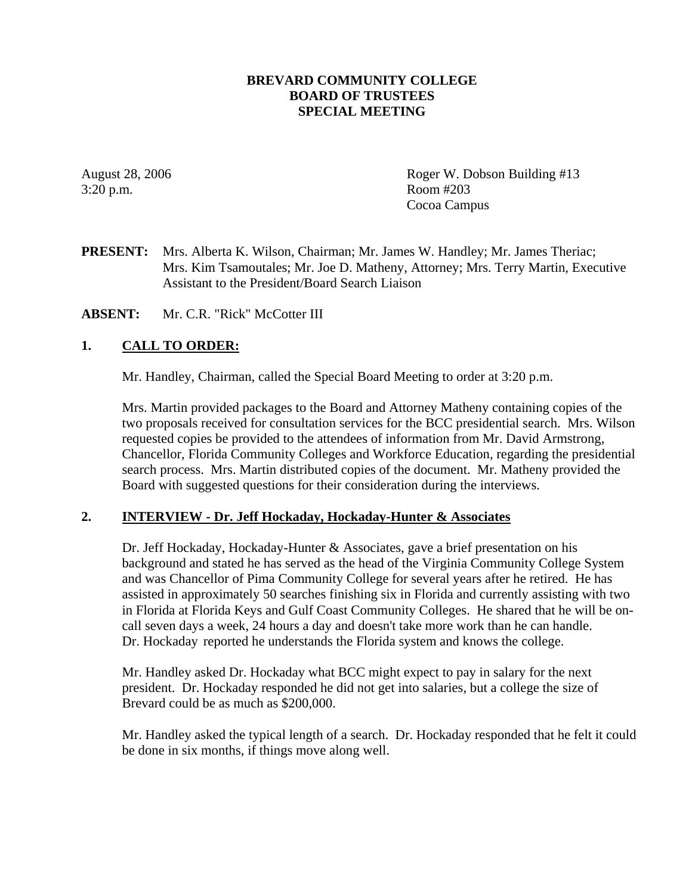## **BREVARD COMMUNITY COLLEGE BOARD OF TRUSTEES SPECIAL MEETING**

3:20 p.m. Room #203

August 28, 2006 **Roger W. Dobson Building #13** Cocoa Campus

**PRESENT:** Mrs. Alberta K. Wilson, Chairman; Mr. James W. Handley; Mr. James Theriac; Mrs. Kim Tsamoutales; Mr. Joe D. Matheny, Attorney; Mrs. Terry Martin, Executive Assistant to the President/Board Search Liaison

**ABSENT:** Mr. C.R. "Rick" McCotter III

## **1. CALL TO ORDER:**

Mr. Handley, Chairman, called the Special Board Meeting to order at 3:20 p.m.

Mrs. Martin provided packages to the Board and Attorney Matheny containing copies of the two proposals received for consultation services for the BCC presidential search. Mrs. Wilson requested copies be provided to the attendees of information from Mr. David Armstrong, Chancellor, Florida Community Colleges and Workforce Education, regarding the presidential search process. Mrs. Martin distributed copies of the document. Mr. Matheny provided the Board with suggested questions for their consideration during the interviews.

#### **2. INTERVIEW - Dr. Jeff Hockaday, Hockaday-Hunter & Associates**

 Dr. Jeff Hockaday, Hockaday-Hunter & Associates, gave a brief presentation on his background and stated he has served as the head of the Virginia Community College System and was Chancellor of Pima Community College for several years after he retired. He has assisted in approximately 50 searches finishing six in Florida and currently assisting with two in Florida at Florida Keys and Gulf Coast Community Colleges. He shared that he will be on call seven days a week, 24 hours a day and doesn't take more work than he can handle. Dr. Hockaday reported he understands the Florida system and knows the college.

 Mr. Handley asked Dr. Hockaday what BCC might expect to pay in salary for the next president. Dr. Hockaday responded he did not get into salaries, but a college the size of Brevard could be as much as \$200,000.

 Mr. Handley asked the typical length of a search. Dr. Hockaday responded that he felt it could be done in six months, if things move along well.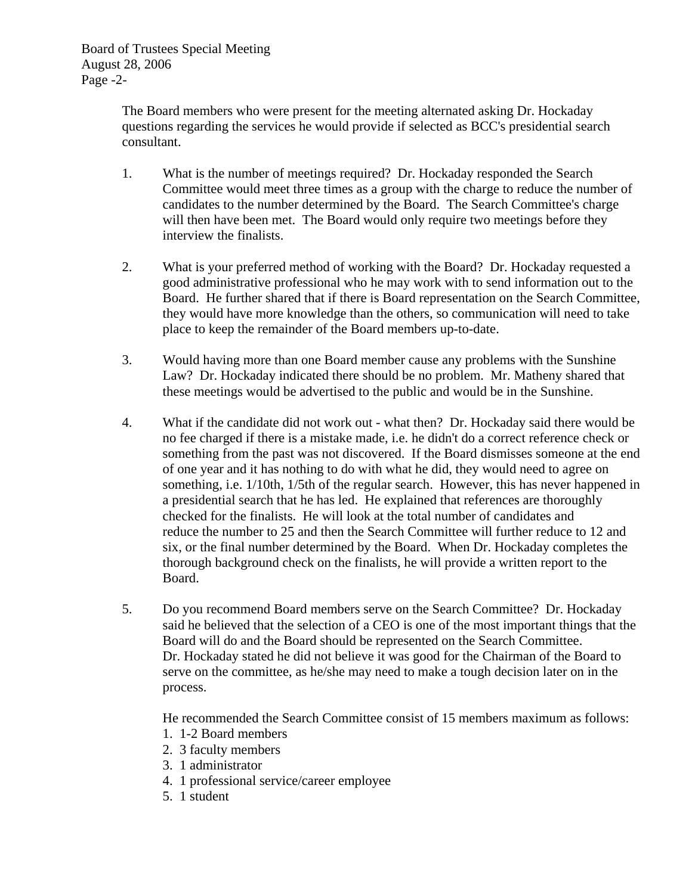Board of Trustees Special Meeting August 28, 2006 Page -2-

> The Board members who were present for the meeting alternated asking Dr. Hockaday questions regarding the services he would provide if selected as BCC's presidential search consultant.

- 1. What is the number of meetings required? Dr. Hockaday responded the Search Committee would meet three times as a group with the charge to reduce the number of candidates to the number determined by the Board. The Search Committee's charge will then have been met. The Board would only require two meetings before they interview the finalists.
- 2. What is your preferred method of working with the Board? Dr. Hockaday requested a good administrative professional who he may work with to send information out to the Board. He further shared that if there is Board representation on the Search Committee, they would have more knowledge than the others, so communication will need to take place to keep the remainder of the Board members up-to-date.
- 3. Would having more than one Board member cause any problems with the Sunshine Law? Dr. Hockaday indicated there should be no problem. Mr. Matheny shared that these meetings would be advertised to the public and would be in the Sunshine.
- 4. What if the candidate did not work out what then? Dr. Hockaday said there would be no fee charged if there is a mistake made, i.e. he didn't do a correct reference check or something from the past was not discovered. If the Board dismisses someone at the end of one year and it has nothing to do with what he did, they would need to agree on something, i.e. 1/10th, 1/5th of the regular search. However, this has never happened in a presidential search that he has led. He explained that references are thoroughly checked for the finalists. He will look at the total number of candidates and reduce the number to 25 and then the Search Committee will further reduce to 12 and six, or the final number determined by the Board. When Dr. Hockaday completes the thorough background check on the finalists, he will provide a written report to the Board.
- 5. Do you recommend Board members serve on the Search Committee? Dr. Hockaday said he believed that the selection of a CEO is one of the most important things that the Board will do and the Board should be represented on the Search Committee. Dr. Hockaday stated he did not believe it was good for the Chairman of the Board to serve on the committee, as he/she may need to make a tough decision later on in the process.

He recommended the Search Committee consist of 15 members maximum as follows:

- 1. 1-2 Board members
- 2. 3 faculty members
- 3. 1 administrator
- 4. 1 professional service/career employee
- 5. 1 student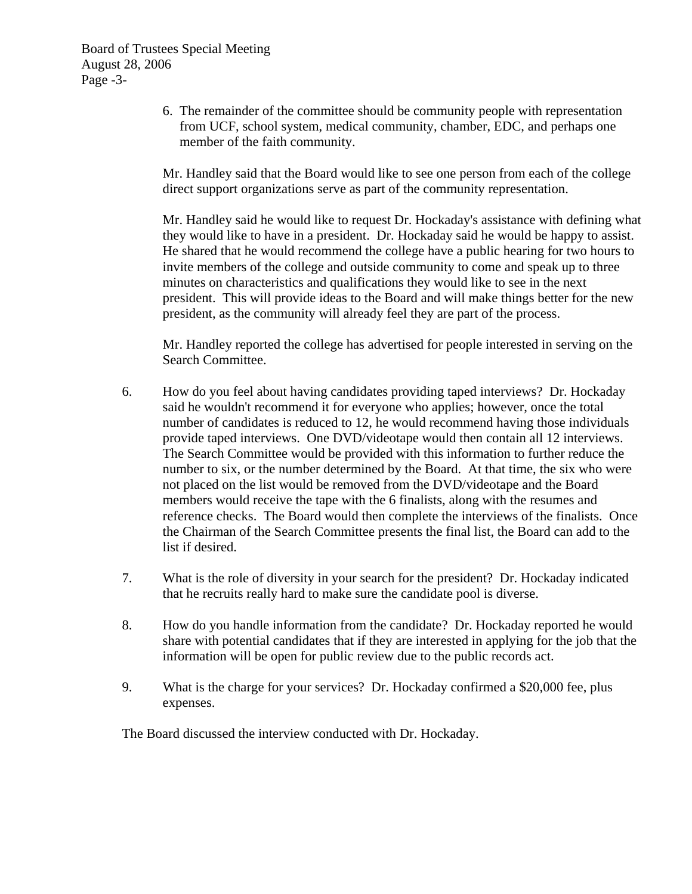Board of Trustees Special Meeting August 28, 2006 Page -3-

> 6. The remainder of the committee should be community people with representation from UCF, school system, medical community, chamber, EDC, and perhaps one member of the faith community.

 Mr. Handley said that the Board would like to see one person from each of the college direct support organizations serve as part of the community representation.

 Mr. Handley said he would like to request Dr. Hockaday's assistance with defining what they would like to have in a president. Dr. Hockaday said he would be happy to assist. He shared that he would recommend the college have a public hearing for two hours to invite members of the college and outside community to come and speak up to three minutes on characteristics and qualifications they would like to see in the next president. This will provide ideas to the Board and will make things better for the new president, as the community will already feel they are part of the process.

 Mr. Handley reported the college has advertised for people interested in serving on the Search Committee.

- 6. How do you feel about having candidates providing taped interviews? Dr. Hockaday said he wouldn't recommend it for everyone who applies; however, once the total number of candidates is reduced to 12, he would recommend having those individuals provide taped interviews. One DVD/videotape would then contain all 12 interviews. The Search Committee would be provided with this information to further reduce the number to six, or the number determined by the Board. At that time, the six who were not placed on the list would be removed from the DVD/videotape and the Board members would receive the tape with the 6 finalists, along with the resumes and reference checks. The Board would then complete the interviews of the finalists. Once the Chairman of the Search Committee presents the final list, the Board can add to the list if desired.
- 7. What is the role of diversity in your search for the president? Dr. Hockaday indicated that he recruits really hard to make sure the candidate pool is diverse.
- 8. How do you handle information from the candidate? Dr. Hockaday reported he would share with potential candidates that if they are interested in applying for the job that the information will be open for public review due to the public records act.
- 9. What is the charge for your services? Dr. Hockaday confirmed a \$20,000 fee, plus expenses.

The Board discussed the interview conducted with Dr. Hockaday.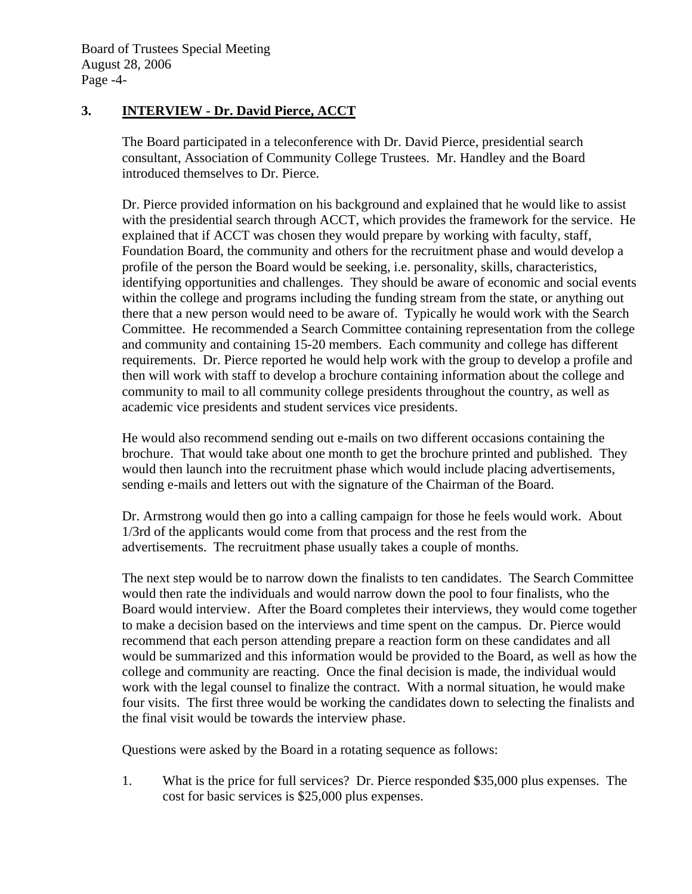# **3. INTERVIEW - Dr. David Pierce, ACCT**

 The Board participated in a teleconference with Dr. David Pierce, presidential search consultant, Association of Community College Trustees. Mr. Handley and the Board introduced themselves to Dr. Pierce.

 Dr. Pierce provided information on his background and explained that he would like to assist with the presidential search through ACCT, which provides the framework for the service. He explained that if ACCT was chosen they would prepare by working with faculty, staff, Foundation Board, the community and others for the recruitment phase and would develop a profile of the person the Board would be seeking, i.e. personality, skills, characteristics, identifying opportunities and challenges. They should be aware of economic and social events within the college and programs including the funding stream from the state, or anything out there that a new person would need to be aware of. Typically he would work with the Search Committee. He recommended a Search Committee containing representation from the college and community and containing 15-20 members. Each community and college has different requirements. Dr. Pierce reported he would help work with the group to develop a profile and then will work with staff to develop a brochure containing information about the college and community to mail to all community college presidents throughout the country, as well as academic vice presidents and student services vice presidents.

 He would also recommend sending out e-mails on two different occasions containing the brochure. That would take about one month to get the brochure printed and published. They would then launch into the recruitment phase which would include placing advertisements, sending e-mails and letters out with the signature of the Chairman of the Board.

 Dr. Armstrong would then go into a calling campaign for those he feels would work. About 1/3rd of the applicants would come from that process and the rest from the advertisements. The recruitment phase usually takes a couple of months.

 The next step would be to narrow down the finalists to ten candidates. The Search Committee would then rate the individuals and would narrow down the pool to four finalists, who the Board would interview. After the Board completes their interviews, they would come together to make a decision based on the interviews and time spent on the campus. Dr. Pierce would recommend that each person attending prepare a reaction form on these candidates and all would be summarized and this information would be provided to the Board, as well as how the college and community are reacting. Once the final decision is made, the individual would work with the legal counsel to finalize the contract. With a normal situation, he would make four visits. The first three would be working the candidates down to selecting the finalists and the final visit would be towards the interview phase.

Questions were asked by the Board in a rotating sequence as follows:

 1. What is the price for full services? Dr. Pierce responded \$35,000 plus expenses. The cost for basic services is \$25,000 plus expenses.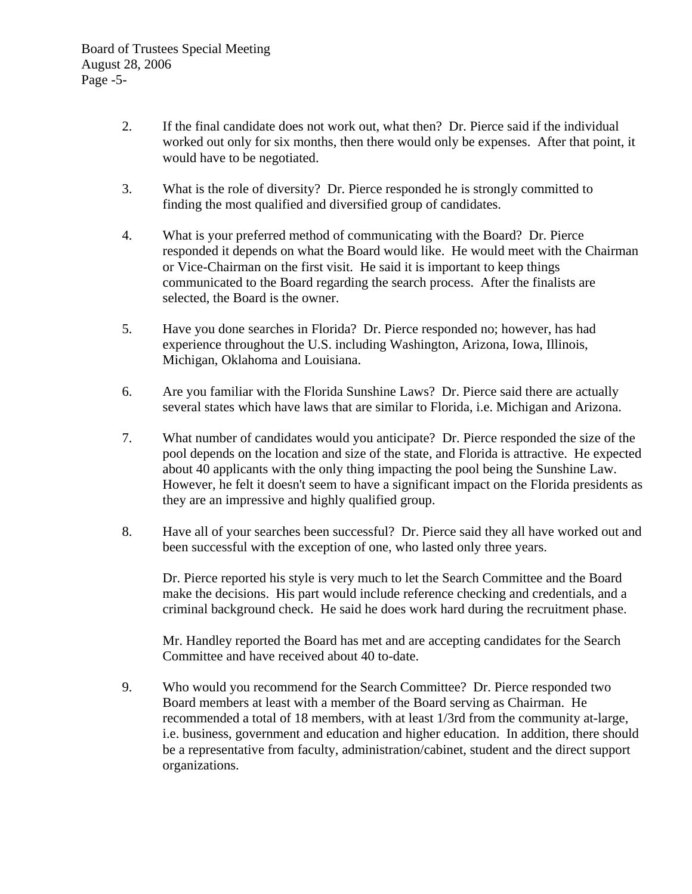- 2. If the final candidate does not work out, what then? Dr. Pierce said if the individual worked out only for six months, then there would only be expenses. After that point, it would have to be negotiated.
- 3. What is the role of diversity? Dr. Pierce responded he is strongly committed to finding the most qualified and diversified group of candidates.
- 4. What is your preferred method of communicating with the Board? Dr. Pierce responded it depends on what the Board would like. He would meet with the Chairman or Vice-Chairman on the first visit. He said it is important to keep things communicated to the Board regarding the search process. After the finalists are selected, the Board is the owner.
- 5. Have you done searches in Florida? Dr. Pierce responded no; however, has had experience throughout the U.S. including Washington, Arizona, Iowa, Illinois, Michigan, Oklahoma and Louisiana.
- 6. Are you familiar with the Florida Sunshine Laws? Dr. Pierce said there are actually several states which have laws that are similar to Florida, i.e. Michigan and Arizona.
- 7. What number of candidates would you anticipate? Dr. Pierce responded the size of the pool depends on the location and size of the state, and Florida is attractive. He expected about 40 applicants with the only thing impacting the pool being the Sunshine Law. However, he felt it doesn't seem to have a significant impact on the Florida presidents as they are an impressive and highly qualified group.
- 8. Have all of your searches been successful? Dr. Pierce said they all have worked out and been successful with the exception of one, who lasted only three years.

 Dr. Pierce reported his style is very much to let the Search Committee and the Board make the decisions. His part would include reference checking and credentials, and a criminal background check. He said he does work hard during the recruitment phase.

 Mr. Handley reported the Board has met and are accepting candidates for the Search Committee and have received about 40 to-date.

 9. Who would you recommend for the Search Committee? Dr. Pierce responded two Board members at least with a member of the Board serving as Chairman. He recommended a total of 18 members, with at least 1/3rd from the community at-large, i.e. business, government and education and higher education. In addition, there should be a representative from faculty, administration/cabinet, student and the direct support organizations.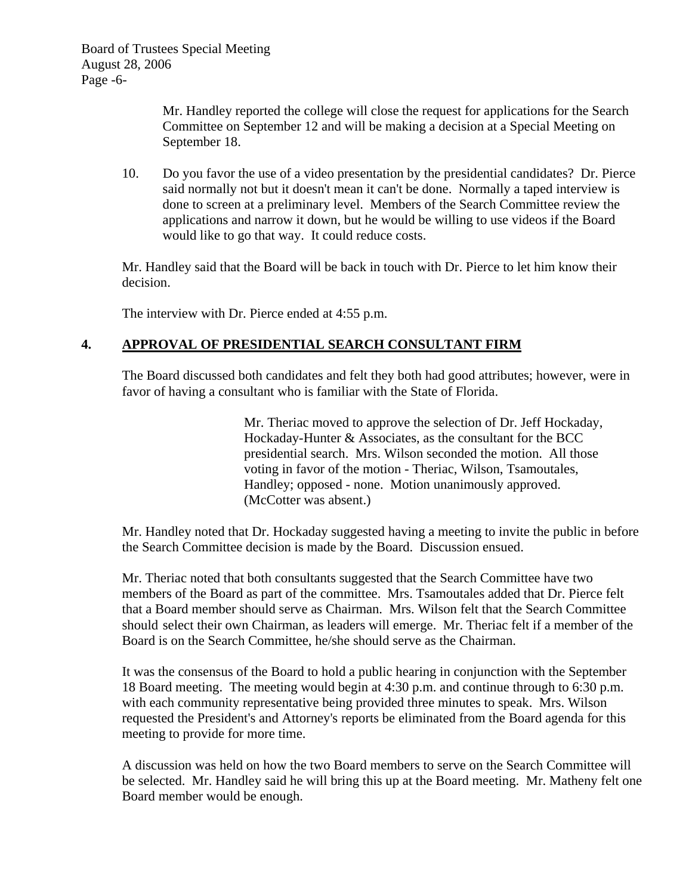Mr. Handley reported the college will close the request for applications for the Search Committee on September 12 and will be making a decision at a Special Meeting on September 18.

 10. Do you favor the use of a video presentation by the presidential candidates? Dr. Pierce said normally not but it doesn't mean it can't be done. Normally a taped interview is done to screen at a preliminary level. Members of the Search Committee review the applications and narrow it down, but he would be willing to use videos if the Board would like to go that way. It could reduce costs.

 Mr. Handley said that the Board will be back in touch with Dr. Pierce to let him know their decision.

The interview with Dr. Pierce ended at 4:55 p.m.

# **4. APPROVAL OF PRESIDENTIAL SEARCH CONSULTANT FIRM**

 The Board discussed both candidates and felt they both had good attributes; however, were in favor of having a consultant who is familiar with the State of Florida.

> Mr. Theriac moved to approve the selection of Dr. Jeff Hockaday, Hockaday-Hunter & Associates, as the consultant for the BCC presidential search. Mrs. Wilson seconded the motion. All those voting in favor of the motion - Theriac, Wilson, Tsamoutales, Handley; opposed - none. Motion unanimously approved. (McCotter was absent.)

 Mr. Handley noted that Dr. Hockaday suggested having a meeting to invite the public in before the Search Committee decision is made by the Board. Discussion ensued.

 Mr. Theriac noted that both consultants suggested that the Search Committee have two members of the Board as part of the committee. Mrs. Tsamoutales added that Dr. Pierce felt that a Board member should serve as Chairman. Mrs. Wilson felt that the Search Committee should select their own Chairman, as leaders will emerge. Mr. Theriac felt if a member of the Board is on the Search Committee, he/she should serve as the Chairman.

 It was the consensus of the Board to hold a public hearing in conjunction with the September 18 Board meeting. The meeting would begin at 4:30 p.m. and continue through to 6:30 p.m. with each community representative being provided three minutes to speak. Mrs. Wilson requested the President's and Attorney's reports be eliminated from the Board agenda for this meeting to provide for more time.

 A discussion was held on how the two Board members to serve on the Search Committee will be selected. Mr. Handley said he will bring this up at the Board meeting. Mr. Matheny felt one Board member would be enough.